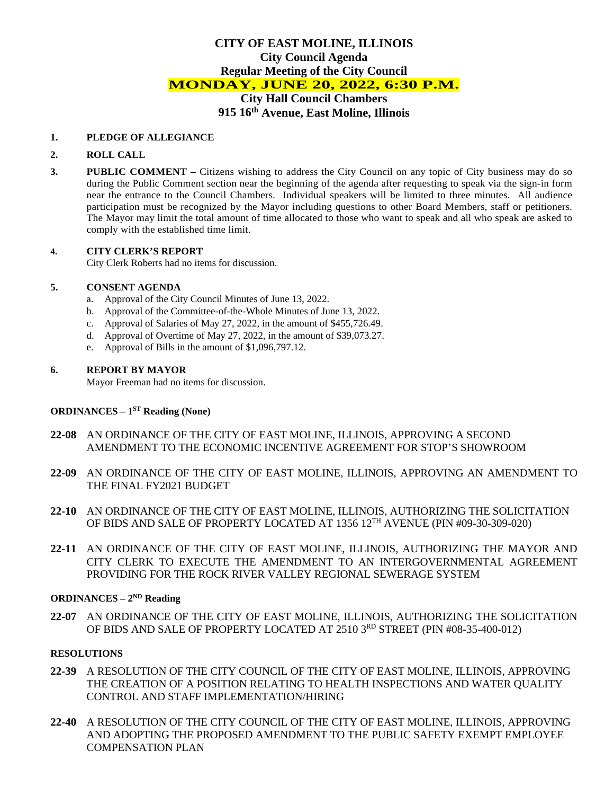# **CITY OF EAST MOLINE, ILLINOIS City Council Agenda Regular Meeting of the City Council MONDAY, JUNE 20, 2022, 6:30 P.M. City Hall Council Chambers 915 16th Avenue, East Moline, Illinois**

#### **1. PLEDGE OF ALLEGIANCE**

### **2. ROLL CALL**

**3. PUBLIC COMMENT –** Citizens wishing to address the City Council on any topic of City business may do so during the Public Comment section near the beginning of the agenda after requesting to speak via the sign-in form near the entrance to the Council Chambers. Individual speakers will be limited to three minutes. All audience participation must be recognized by the Mayor including questions to other Board Members, staff or petitioners. The Mayor may limit the total amount of time allocated to those who want to speak and all who speak are asked to comply with the established time limit.

### **4. CITY CLERK'S REPORT**

City Clerk Roberts had no items for discussion.

# **5. CONSENT AGENDA**

- a. Approval of the City Council Minutes of June 13, 2022.
- b. Approval of the Committee-of-the-Whole Minutes of June 13, 2022.
- c. Approval of Salaries of May 27, 2022, in the amount of \$455,726.49.
- d. Approval of Overtime of May 27, 2022, in the amount of \$39,073.27.
- e. Approval of Bills in the amount of \$1,096,797.12.

### **6. REPORT BY MAYOR**

Mayor Freeman had no items for discussion.

# **ORDINANCES – 1ST Reading (None)**

- **22-08** AN ORDINANCE OF THE CITY OF EAST MOLINE, ILLINOIS, APPROVING A SECOND AMENDMENT TO THE ECONOMIC INCENTIVE AGREEMENT FOR STOP'S SHOWROOM
- **22-09** AN ORDINANCE OF THE CITY OF EAST MOLINE, ILLINOIS, APPROVING AN AMENDMENT TO THE FINAL FY2021 BUDGET
- **22-10** AN ORDINANCE OF THE CITY OF EAST MOLINE, ILLINOIS, AUTHORIZING THE SOLICITATION OF BIDS AND SALE OF PROPERTY LOCATED AT 1356 12TH AVENUE (PIN #09-30-309-020)
- **22-11** AN ORDINANCE OF THE CITY OF EAST MOLINE, ILLINOIS, AUTHORIZING THE MAYOR AND CITY CLERK TO EXECUTE THE AMENDMENT TO AN INTERGOVERNMENTAL AGREEMENT PROVIDING FOR THE ROCK RIVER VALLEY REGIONAL SEWERAGE SYSTEM

# **ORDINANCES – 2ND Reading**

**22-07** AN ORDINANCE OF THE CITY OF EAST MOLINE, ILLINOIS, AUTHORIZING THE SOLICITATION OF BIDS AND SALE OF PROPERTY LOCATED AT 2510 3RD STREET (PIN #08-35-400-012)

#### **RESOLUTIONS**

- **22-39** A RESOLUTION OF THE CITY COUNCIL OF THE CITY OF EAST MOLINE, ILLINOIS, APPROVING THE CREATION OF A POSITION RELATING TO HEALTH INSPECTIONS AND WATER QUALITY CONTROL AND STAFF IMPLEMENTATION/HIRING
- **22-40** A RESOLUTION OF THE CITY COUNCIL OF THE CITY OF EAST MOLINE, ILLINOIS, APPROVING AND ADOPTING THE PROPOSED AMENDMENT TO THE PUBLIC SAFETY EXEMPT EMPLOYEE COMPENSATION PLAN